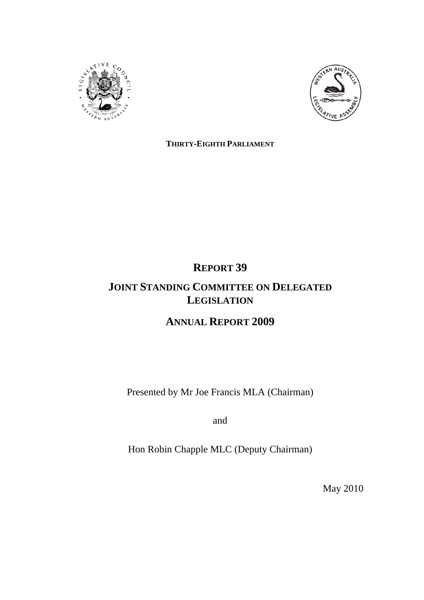



**THIRTY-EIGHTH PARLIAMENT**

# **REPORT 39**

# **JOINT STANDING COMMITTEE ON DELEGATED LEGISLATION**

# **ANNUAL REPORT 2009**

Presented by Mr Joe Francis MLA (Chairman)

and

Hon Robin Chapple MLC (Deputy Chairman)

May 2010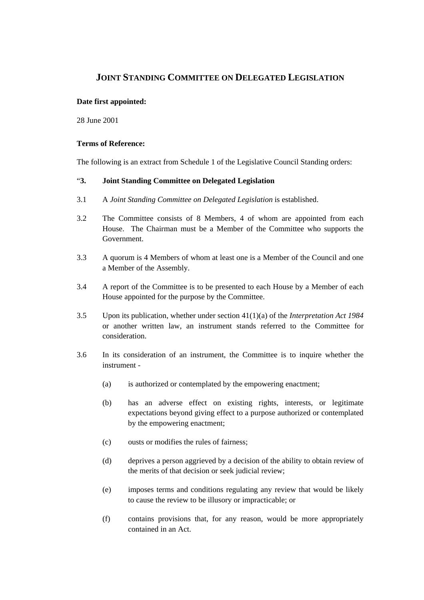# **JOINT STANDING COMMITTEE ON DELEGATED LEGISLATION**

# **Date first appointed:**

28 June 2001

### **Terms of Reference:**

The following is an extract from Schedule 1 of the Legislative Council Standing orders:

# "**3. Joint Standing Committee on Delegated Legislation**

- 3.1 A *Joint Standing Committee on Delegated Legislation* is established.
- 3.2 The Committee consists of 8 Members, 4 of whom are appointed from each House. The Chairman must be a Member of the Committee who supports the Government.
- 3.3 A quorum is 4 Members of whom at least one is a Member of the Council and one a Member of the Assembly.
- 3.4 A report of the Committee is to be presented to each House by a Member of each House appointed for the purpose by the Committee.
- 3.5 Upon its publication, whether under section 41(1)(a) of the *Interpretation Act 1984* or another written law, an instrument stands referred to the Committee for consideration.
- 3.6 In its consideration of an instrument, the Committee is to inquire whether the instrument -
	- (a) is authorized or contemplated by the empowering enactment;
	- (b) has an adverse effect on existing rights, interests, or legitimate expectations beyond giving effect to a purpose authorized or contemplated by the empowering enactment;
	- (c) ousts or modifies the rules of fairness;
	- (d) deprives a person aggrieved by a decision of the ability to obtain review of the merits of that decision or seek judicial review;
	- (e) imposes terms and conditions regulating any review that would be likely to cause the review to be illusory or impracticable; or
	- (f) contains provisions that, for any reason, would be more appropriately contained in an Act.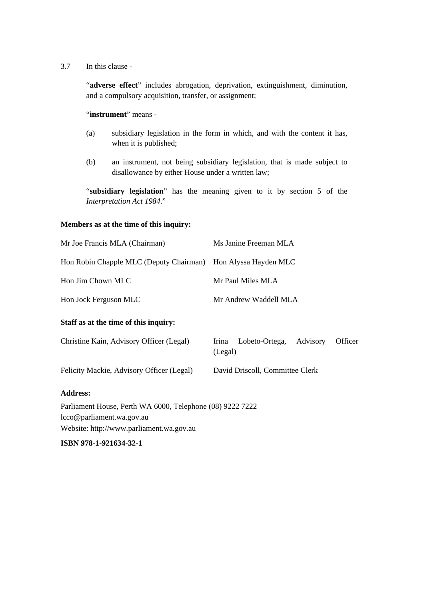3.7 In this clause -

 "**adverse effect**" includes abrogation, deprivation, extinguishment, diminution, and a compulsory acquisition, transfer, or assignment;

"**instrument**" means -

- (a) subsidiary legislation in the form in which, and with the content it has, when it is published;
- (b) an instrument, not being subsidiary legislation, that is made subject to disallowance by either House under a written law;

 "**subsidiary legislation**" has the meaning given to it by section 5 of the *Interpretation Act 1984*."

### **Members as at the time of this inquiry:**

| Mr Joe Francis MLA (Chairman)                                 | Ms Janine Freeman MLA                                     |  |  |
|---------------------------------------------------------------|-----------------------------------------------------------|--|--|
| Hon Robin Chapple MLC (Deputy Chairman) Hon Alyssa Hayden MLC |                                                           |  |  |
| Hon Jim Chown MLC                                             | Mr Paul Miles MLA                                         |  |  |
| Hon Jock Ferguson MLC                                         | Mr Andrew Waddell MLA                                     |  |  |
| Staff as at the time of this inquiry:                         |                                                           |  |  |
| Christine Kain, Advisory Officer (Legal)                      | Lobeto-Ortega,<br>Advisory<br>Officer<br>Irina<br>(Legal) |  |  |
| Felicity Mackie, Advisory Officer (Legal)                     | David Driscoll, Committee Clerk                           |  |  |
| <b>Address:</b>                                               |                                                           |  |  |
| Parliament House, Perth WA 6000, Telephone (08) 9222 7222     |                                                           |  |  |
| lcco@parliament.wa.gov.au                                     |                                                           |  |  |
| Website: http://www.parliament.wa.gov.au                      |                                                           |  |  |

**ISBN 978-1-921634-32-1**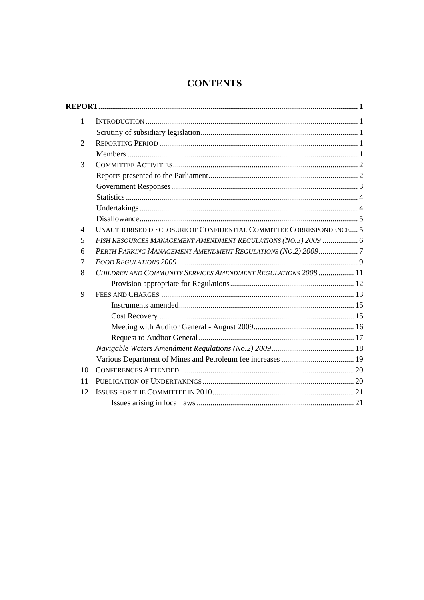# **CONTENTS**

| $\mathbf{1}$   |                                                                    |
|----------------|--------------------------------------------------------------------|
|                |                                                                    |
| $\overline{2}$ |                                                                    |
|                |                                                                    |
| 3              |                                                                    |
|                |                                                                    |
|                |                                                                    |
|                |                                                                    |
|                |                                                                    |
|                |                                                                    |
| 4              | UNAUTHORISED DISCLOSURE OF CONFIDENTIAL COMMITTEE CORRESPONDENCE 5 |
| 5              | FISH RESOURCES MANAGEMENT AMENDMENT REGULATIONS (NO.3) 2009  6     |
| 6              | PERTH PARKING MANAGEMENT AMENDMENT REGULATIONS (NO.2) 20097        |
| 7              |                                                                    |
| 8              | CHILDREN AND COMMUNITY SERVICES AMENDMENT REGULATIONS 2008  11     |
|                |                                                                    |
| 9              |                                                                    |
|                |                                                                    |
|                |                                                                    |
|                |                                                                    |
|                |                                                                    |
|                |                                                                    |
|                |                                                                    |
| 10             |                                                                    |
| 11             |                                                                    |
| 12             |                                                                    |
|                |                                                                    |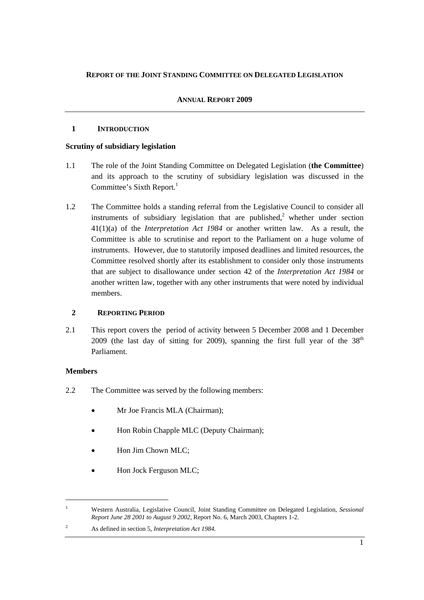# **REPORT OF THE JOINT STANDING COMMITTEE ON DELEGATED LEGISLATION**

# **ANNUAL REPORT 2009**

# **1 INTRODUCTION**

# **Scrutiny of subsidiary legislation**

- 1.1 The role of the Joint Standing Committee on Delegated Legislation (**the Committee**) and its approach to the scrutiny of subsidiary legislation was discussed in the Committee's Sixth Report.<sup>1</sup>
- 1.2 The Committee holds a standing referral from the Legislative Council to consider all instruments of subsidiary legislation that are published, $2$  whether under section 41(1)(a) of the *Interpretation Act 1984* or another written law. As a result, the Committee is able to scrutinise and report to the Parliament on a huge volume of instruments. However, due to statutorily imposed deadlines and limited resources, the Committee resolved shortly after its establishment to consider only those instruments that are subject to disallowance under section 42 of the *Interpretation Act 1984* or another written law, together with any other instruments that were noted by individual members.

# **2 REPORTING PERIOD**

2.1 This report covers the period of activity between 5 December 2008 and 1 December 2009 (the last day of sitting for 2009), spanning the first full year of the  $38<sup>th</sup>$ Parliament.

# **Members**

- 2.2 The Committee was served by the following members:
	- Mr Joe Francis MLA (Chairman);
	- Hon Robin Chapple MLC (Deputy Chairman);
	- Hon Jim Chown MLC;
	- Hon Jock Ferguson MLC;

<sup>1</sup> Western Australia, Legislative Council, Joint Standing Committee on Delegated Legislation, *Sessional Report June 28 2001 to August 9 2002*, Report No. 6, March 2003, Chapters 1-2.

 $\overline{2}$ As defined in section 5, *Interpretation Act 1984.*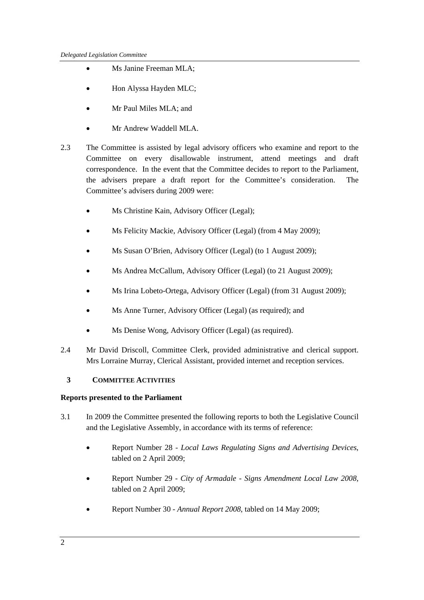- Ms Janine Freeman MLA:
- Hon Alyssa Hayden MLC;
- Mr Paul Miles MLA; and
- Mr Andrew Waddell MLA.
- 2.3 The Committee is assisted by legal advisory officers who examine and report to the Committee on every disallowable instrument, attend meetings and draft correspondence. In the event that the Committee decides to report to the Parliament, the advisers prepare a draft report for the Committee's consideration. The Committee's advisers during 2009 were:
	- Ms Christine Kain, Advisory Officer (Legal);
	- Ms Felicity Mackie, Advisory Officer (Legal) (from 4 May 2009);
	- Ms Susan O'Brien, Advisory Officer (Legal) (to 1 August 2009);
	- Ms Andrea McCallum, Advisory Officer (Legal) (to 21 August 2009);
	- Ms Irina Lobeto-Ortega, Advisory Officer (Legal) (from 31 August 2009);
	- Ms Anne Turner, Advisory Officer (Legal) (as required); and
	- Ms Denise Wong, Advisory Officer (Legal) (as required).
- 2.4 Mr David Driscoll, Committee Clerk, provided administrative and clerical support. Mrs Lorraine Murray, Clerical Assistant, provided internet and reception services.

# **3 COMMITTEE ACTIVITIES**

# **Reports presented to the Parliament**

- 3.1 In 2009 the Committee presented the following reports to both the Legislative Council and the Legislative Assembly, in accordance with its terms of reference:
	- Report Number 28 *Local Laws Regulating Signs and Advertising Devices*, tabled on 2 April 2009;
	- Report Number 29 *City of Armadale Signs Amendment Local Law 2008*, tabled on 2 April 2009;
	- Report Number 30 *Annual Report 2008*, tabled on 14 May 2009;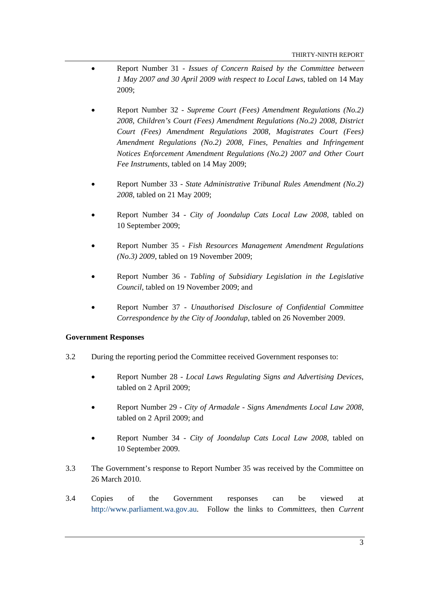- Report Number 31 *Issues of Concern Raised by the Committee between 1 May 2007 and 30 April 2009 with respect to Local Laws*, tabled on 14 May 2009;
- Report Number 32 *Supreme Court (Fees) Amendment Regulations (No.2) 2008, Children's Court (Fees) Amendment Regulations (No.2) 2008, District Court (Fees) Amendment Regulations 2008, Magistrates Court (Fees) Amendment Regulations (No.2) 2008, Fines, Penalties and Infringement Notices Enforcement Amendment Regulations (No.2) 2007 and Other Court Fee Instruments*, tabled on 14 May 2009;
- Report Number 33 *State Administrative Tribunal Rules Amendment (No.2) 2008*, tabled on 21 May 2009;
- Report Number 34 *City of Joondalup Cats Local Law 2008*, tabled on 10 September 2009;
- Report Number 35 *Fish Resources Management Amendment Regulations (No.3) 2009*, tabled on 19 November 2009;
- Report Number 36 *Tabling of Subsidiary Legislation in the Legislative Council*, tabled on 19 November 2009; and
- Report Number 37 *Unauthorised Disclosure of Confidential Committee Correspondence by the City of Joondalup*, tabled on 26 November 2009.

# **Government Responses**

- 3.2 During the reporting period the Committee received Government responses to:
	- Report Number 28 *Local Laws Regulating Signs and Advertising Devices*, tabled on 2 April 2009;
	- Report Number 29 *City of Armadale Signs Amendments Local Law 2008*, tabled on 2 April 2009; and
	- Report Number 34 *City of Joondalup Cats Local Law 2008*, tabled on 10 September 2009.
- 3.3 The Government's response to Report Number 35 was received by the Committee on 26 March 2010.
- 3.4 Copies of the Government responses can be viewed at http://www.parliament.wa.gov.au. Follow the links to *Committees*, then *Current*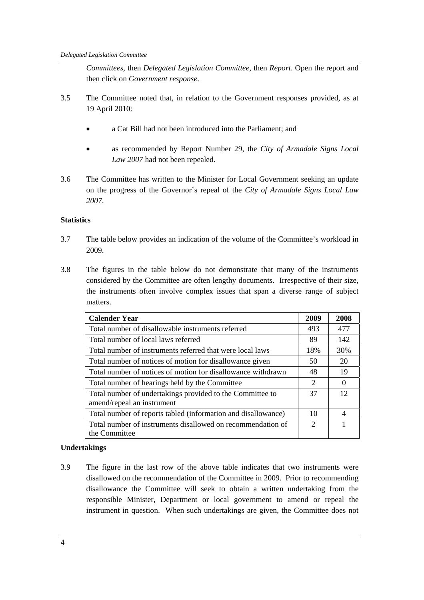*Committees*, then *Delegated Legislation Committee*, then *Report*. Open the report and then click on *Government response*.

- 3.5 The Committee noted that, in relation to the Government responses provided, as at 19 April 2010:
	- a Cat Bill had not been introduced into the Parliament; and
	- as recommended by Report Number 29, the *City of Armadale Signs Local Law 2007* had not been repealed.
- 3.6 The Committee has written to the Minister for Local Government seeking an update on the progress of the Governor's repeal of the *City of Armadale Signs Local Law 2007*.

# **Statistics**

- 3.7 The table below provides an indication of the volume of the Committee's workload in 2009.
- 3.8 The figures in the table below do not demonstrate that many of the instruments considered by the Committee are often lengthy documents. Irrespective of their size, the instruments often involve complex issues that span a diverse range of subject matters.

| <b>Calender Year</b>                                                                    |  | 2008           |
|-----------------------------------------------------------------------------------------|--|----------------|
| Total number of disallowable instruments referred                                       |  | 477            |
| Total number of local laws referred                                                     |  | 142            |
| Total number of instruments referred that were local laws                               |  | 30%            |
| Total number of notices of motion for disallowance given                                |  | 20             |
| Total number of notices of motion for disallowance withdrawn                            |  | 19             |
| Total number of hearings held by the Committee                                          |  | $\Omega$       |
| Total number of undertakings provided to the Committee to<br>amend/repeal an instrument |  | 12             |
| Total number of reports tabled (information and disallowance)                           |  | $\overline{4}$ |
| Total number of instruments disallowed on recommendation of<br>the Committee            |  |                |

# **Undertakings**

3.9 The figure in the last row of the above table indicates that two instruments were disallowed on the recommendation of the Committee in 2009. Prior to recommending disallowance the Committee will seek to obtain a written undertaking from the responsible Minister, Department or local government to amend or repeal the instrument in question. When such undertakings are given, the Committee does not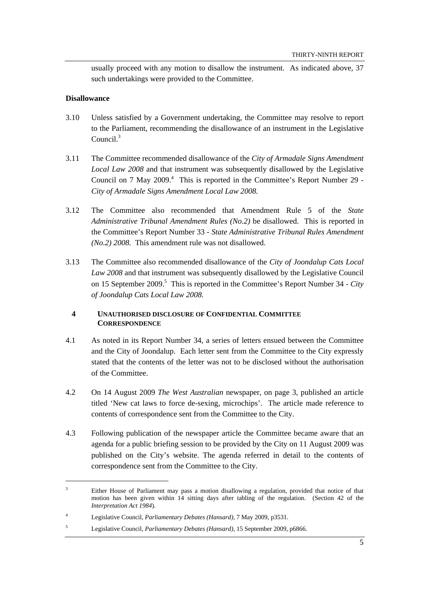usually proceed with any motion to disallow the instrument. As indicated above, 37 such undertakings were provided to the Committee.

# **Disallowance**

 $\overline{a}$ 

- 3.10 Unless satisfied by a Government undertaking, the Committee may resolve to report to the Parliament, recommending the disallowance of an instrument in the Legislative Council<sup>3</sup>
- 3.11 The Committee recommended disallowance of the *City of Armadale Signs Amendment Local Law 2008* and that instrument was subsequently disallowed by the Legislative Council on 7 May 2009.<sup>4</sup> This is reported in the Committee's Report Number 29 -*City of Armadale Signs Amendment Local Law 2008.*
- 3.12 The Committee also recommended that Amendment Rule 5 of the *State Administrative Tribunal Amendment Rules (No.2)* be disallowed. This is reported in the Committee's Report Number 33 - *State Administrative Tribunal Rules Amendment (No.2) 2008.* This amendment rule was not disallowed.
- 3.13 The Committee also recommended disallowance of the *City of Joondalup Cats Local Law 2008* and that instrument was subsequently disallowed by the Legislative Council on 15 September 2009.<sup>5</sup> This is reported in the Committee's Report Number 34 - City *of Joondalup Cats Local Law 2008.*

#### **4 UNAUTHORISED DISCLOSURE OF CONFIDENTIAL COMMITTEE CORRESPONDENCE**

- 4.1 As noted in its Report Number 34, a series of letters ensued between the Committee and the City of Joondalup. Each letter sent from the Committee to the City expressly stated that the contents of the letter was not to be disclosed without the authorisation of the Committee.
- 4.2 On 14 August 2009 *The West Australian* newspaper, on page 3, published an article titled 'New cat laws to force de-sexing, microchips'. The article made reference to contents of correspondence sent from the Committee to the City.
- 4.3 Following publication of the newspaper article the Committee became aware that an agenda for a public briefing session to be provided by the City on 11 August 2009 was published on the City's website. The agenda referred in detail to the contents of correspondence sent from the Committee to the City.

<sup>3</sup> Either House of Parliament may pass a motion disallowing a regulation, provided that notice of that motion has been given within 14 sitting days after tabling of the regulation. (Section 42 of the *Interpretation Act 1984*).

<sup>4</sup> Legislative Council, *Parliamentary Debates (Hansard),* 7 May 2009, p3531.

<sup>5</sup> Legislative Council, *Parliamentary Debates (Hansard),* 15 September 2009, p6866.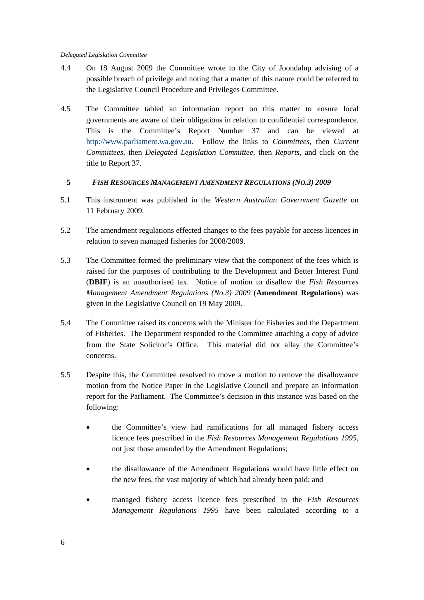- 4.4 On 18 August 2009 the Committee wrote to the City of Joondalup advising of a possible breach of privilege and noting that a matter of this nature could be referred to the Legislative Council Procedure and Privileges Committee.
- 4.5 The Committee tabled an information report on this matter to ensure local governments are aware of their obligations in relation to confidential correspondence. This is the Committee's Report Number 37 and can be viewed at http://www.parliament.wa.gov.au. Follow the links to *Committees*, then *Current Committees*, then *Delegated Legislation Committee*, then *Reports*, and click on the title to Report 37.

# **5** *FISH RESOURCES MANAGEMENT AMENDMENT REGULATIONS (NO.3) 2009*

- 5.1 This instrument was published in the *Western Australian Government Gazette* on 11 February 2009.
- 5.2 The amendment regulations effected changes to the fees payable for access licences in relation to seven managed fisheries for 2008/2009.
- 5.3 The Committee formed the preliminary view that the component of the fees which is raised for the purposes of contributing to the Development and Better Interest Fund (**DBIF**) is an unauthorised tax. Notice of motion to disallow the *Fish Resources Management Amendment Regulations (No.3) 2009* (**Amendment Regulations**) was given in the Legislative Council on 19 May 2009.
- 5.4 The Committee raised its concerns with the Minister for Fisheries and the Department of Fisheries. The Department responded to the Committee attaching a copy of advice from the State Solicitor's Office. This material did not allay the Committee's concerns.
- 5.5 Despite this, the Committee resolved to move a motion to remove the disallowance motion from the Notice Paper in the Legislative Council and prepare an information report for the Parliament. The Committee's decision in this instance was based on the following:
	- the Committee's view had ramifications for all managed fishery access licence fees prescribed in the *Fish Resources Management Regulations 1995*, not just those amended by the Amendment Regulations;
	- the disallowance of the Amendment Regulations would have little effect on the new fees, the vast majority of which had already been paid; and
	- managed fishery access licence fees prescribed in the *Fish Resources Management Regulations 1995* have been calculated according to a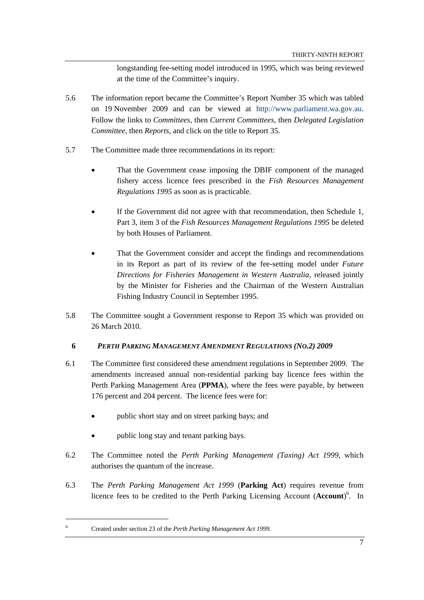longstanding fee-setting model introduced in 1995, which was being reviewed at the time of the Committee's inquiry.

- 5.6 The information report became the Committee's Report Number 35 which was tabled on 19 November 2009 and can be viewed at http://www.parliament.wa.gov.au. Follow the links to *Committees*, then *Current Committees*, then *Delegated Legislation Committee*, then *Reports*, and click on the title to Report 35.
- 5.7 The Committee made three recommendations in its report:
	- That the Government cease imposing the DBIF component of the managed fishery access licence fees prescribed in the *Fish Resources Management Regulations 1995* as soon as is practicable.
	- If the Government did not agree with that recommendation, then Schedule 1, Part 3, item 3 of the *Fish Resources Management Regulations 1995* be deleted by both Houses of Parliament.
	- That the Government consider and accept the findings and recommendations in its Report as part of its review of the fee-setting model under *Future Directions for Fisheries Management in Western Australia*, released jointly by the Minister for Fisheries and the Chairman of the Western Australian Fishing Industry Council in September 1995.
- 5.8 The Committee sought a Government response to Report 35 which was provided on 26 March 2010.

# **6** *PERTH PARKING MANAGEMENT AMENDMENT REGULATIONS (NO.2) 2009*

- 6.1 The Committee first considered these amendment regulations in September 2009. The amendments increased annual non-residential parking bay licence fees within the Perth Parking Management Area (**PPMA**), where the fees were payable, by between 176 percent and 204 percent. The licence fees were for:
	- public short stay and on street parking bays; and
	- public long stay and tenant parking bays.
- 6.2 The Committee noted the *Perth Parking Management (Taxing) Act 1999*, which authorises the quantum of the increase.
- 6.3 The *Perth Parking Management Act 1999* (**Parking Act**) requires revenue from licence fees to be credited to the Perth Parking Licensing Account (**Account**) 6 . In

Created under section 23 of the *Perth Parking Management Act 1999.*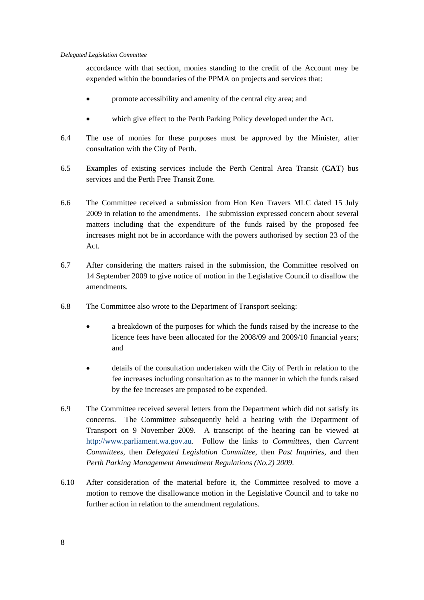accordance with that section, monies standing to the credit of the Account may be expended within the boundaries of the PPMA on projects and services that:

- promote accessibility and amenity of the central city area; and
- which give effect to the Perth Parking Policy developed under the Act.
- 6.4 The use of monies for these purposes must be approved by the Minister, after consultation with the City of Perth.
- 6.5 Examples of existing services include the Perth Central Area Transit (**CAT**) bus services and the Perth Free Transit Zone.
- 6.6 The Committee received a submission from Hon Ken Travers MLC dated 15 July 2009 in relation to the amendments. The submission expressed concern about several matters including that the expenditure of the funds raised by the proposed fee increases might not be in accordance with the powers authorised by section 23 of the Act.
- 6.7 After considering the matters raised in the submission, the Committee resolved on 14 September 2009 to give notice of motion in the Legislative Council to disallow the amendments.
- 6.8 The Committee also wrote to the Department of Transport seeking:
	- a breakdown of the purposes for which the funds raised by the increase to the licence fees have been allocated for the 2008/09 and 2009/10 financial years; and
	- details of the consultation undertaken with the City of Perth in relation to the fee increases including consultation as to the manner in which the funds raised by the fee increases are proposed to be expended.
- 6.9 The Committee received several letters from the Department which did not satisfy its concerns. The Committee subsequently held a hearing with the Department of Transport on 9 November 2009. A transcript of the hearing can be viewed at http://www.parliament.wa.gov.au. Follow the links to *Committees*, then *Current Committees*, then *Delegated Legislation Committee*, then *Past Inquiries*, and then *Perth Parking Management Amendment Regulations (No.2) 2009*.
- 6.10 After consideration of the material before it, the Committee resolved to move a motion to remove the disallowance motion in the Legislative Council and to take no further action in relation to the amendment regulations.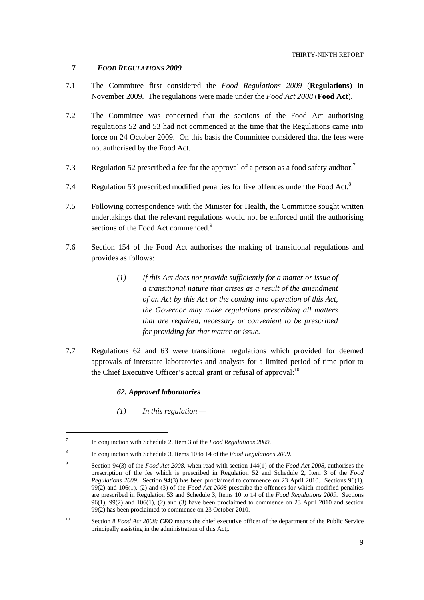# **7** *FOOD REGULATIONS 2009*

- 7.1 The Committee first considered the *Food Regulations 2009* (**Regulations**) in November 2009. The regulations were made under the *Food Act 2008* (**Food Act**).
- 7.2 The Committee was concerned that the sections of the Food Act authorising regulations 52 and 53 had not commenced at the time that the Regulations came into force on 24 October 2009. On this basis the Committee considered that the fees were not authorised by the Food Act.
- 7.3 Regulation 52 prescribed a fee for the approval of a person as a food safety auditor.<sup>7</sup>
- 7.4 Regulation 53 prescribed modified penalties for five offences under the Food Act.<sup>8</sup>
- 7.5 Following correspondence with the Minister for Health, the Committee sought written undertakings that the relevant regulations would not be enforced until the authorising sections of the Food Act commenced.<sup>9</sup>
- 7.6 Section 154 of the Food Act authorises the making of transitional regulations and provides as follows:
	- *(1) If this Act does not provide sufficiently for a matter or issue of a transitional nature that arises as a result of the amendment of an Act by this Act or the coming into operation of this Act, the Governor may make regulations prescribing all matters that are required, necessary or convenient to be prescribed for providing for that matter or issue.*
- 7.7 Regulations 62 and 63 were transitional regulations which provided for deemed approvals of interstate laboratories and analysts for a limited period of time prior to the Chief Executive Officer's actual grant or refusal of approval: $10<sup>10</sup>$

# *62. Approved laboratories*

*(1) In this regulation —* 

<sup>7</sup> In conjunction with Schedule 2, Item 3 of the *Food Regulations 2009*.

<sup>8</sup> In conjunction with Schedule 3, Items 10 to 14 of the *Food Regulations 2009*.

<sup>9</sup> Section 94(3) of the *Food Act 2008*, when read with section 144(1) of the *Food Act 2008*, authorises the prescription of the fee which is prescribed in Regulation 52 and Schedule 2, Item 3 of the *Food Regulations 2009*. Section 94(3) has been proclaimed to commence on 23 April 2010. Sections 96(1), 99(2) and 106(1), (2) and (3) of the *Food Act 2008* prescribe the offences for which modified penalties are prescribed in Regulation 53 and Schedule 3, Items 10 to 14 of the *Food Regulations 2009.* Sections  $96(1)$ ,  $99(2)$  and  $106(1)$ , (2) and (3) have been proclaimed to commence on 23 April 2010 and section 99(2) has been proclaimed to commence on 23 October 2010.

<sup>10</sup> Section 8 *Food Act 2008: CEO* means the chief executive officer of the department of the Public Service principally assisting in the administration of this Act;.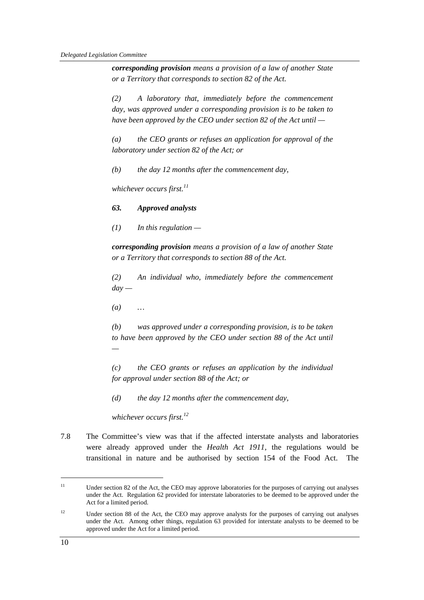*corresponding provision means a provision of a law of another State or a Territory that corresponds to section 82 of the Act.* 

*(2) A laboratory that, immediately before the commencement day, was approved under a corresponding provision is to be taken to have been approved by the CEO under section 82 of the Act until —* 

*(a) the CEO grants or refuses an application for approval of the laboratory under section 82 of the Act; or* 

*(b) the day 12 months after the commencement day,* 

*whichever occurs first.<sup>11</sup>*

#### *63. Approved analysts*

*(1) In this regulation —* 

*corresponding provision means a provision of a law of another State or a Territory that corresponds to section 88 of the Act.* 

*(2) An individual who, immediately before the commencement*   $day -$ 

*(a) …* 

*(b) was approved under a corresponding provision, is to be taken to have been approved by the CEO under section 88 of the Act until —* 

*(c) the CEO grants or refuses an application by the individual for approval under section 88 of the Act; or* 

*(d) the day 12 months after the commencement day,* 

*whichever occurs first.<sup>12</sup>*

7.8 The Committee's view was that if the affected interstate analysts and laboratories were already approved under the *Health Act 1911,* the regulations would be transitional in nature and be authorised by section 154 of the Food Act. The

<sup>&</sup>lt;sup>11</sup> Under section 82 of the Act, the CEO may approve laboratories for the purposes of carrying out analyses under the Act. Regulation 62 provided for interstate laboratories to be deemed to be approved under the Act for a limited period.

 $12$  Under section 88 of the Act, the CEO may approve analysts for the purposes of carrying out analyses under the Act. Among other things, regulation 63 provided for interstate analysts to be deemed to be approved under the Act for a limited period.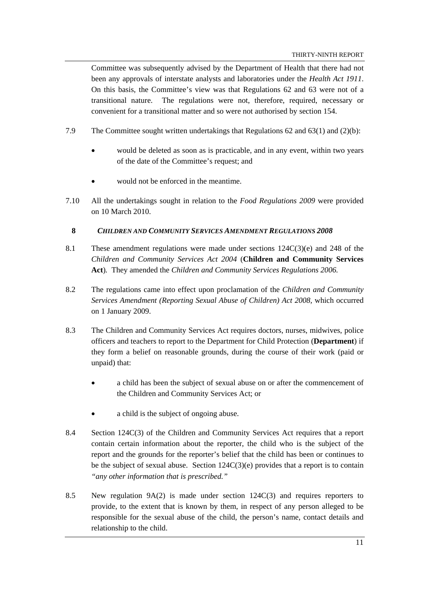Committee was subsequently advised by the Department of Health that there had not been any approvals of interstate analysts and laboratories under the *Health Act 1911*. On this basis, the Committee's view was that Regulations 62 and 63 were not of a transitional nature. The regulations were not, therefore, required, necessary or convenient for a transitional matter and so were not authorised by section 154.

- 7.9 The Committee sought written undertakings that Regulations 62 and 63(1) and (2)(b):
	- would be deleted as soon as is practicable, and in any event, within two years of the date of the Committee's request; and
	- would not be enforced in the meantime.
- 7.10 All the undertakings sought in relation to the *Food Regulations 2009* were provided on 10 March 2010.

# **8** *CHILDREN AND COMMUNITY SERVICES AMENDMENT REGULATIONS 2008*

- 8.1 These amendment regulations were made under sections 124C(3)(e) and 248 of the *Children and Community Services Act 2004* (**Children and Community Services Act**)*.* They amended the *Children and Community Services Regulations 2006.*
- 8.2 The regulations came into effect upon proclamation of the *Children and Community Services Amendment (Reporting Sexual Abuse of Children) Act 2008,* which occurred on 1 January 2009.
- 8.3 The Children and Community Services Act requires doctors, nurses, midwives, police officers and teachers to report to the Department for Child Protection (**Department**) if they form a belief on reasonable grounds, during the course of their work (paid or unpaid) that:
	- a child has been the subject of sexual abuse on or after the commencement of the Children and Community Services Act; or
	- a child is the subject of ongoing abuse.
- 8.4 Section 124C(3) of the Children and Community Services Act requires that a report contain certain information about the reporter, the child who is the subject of the report and the grounds for the reporter's belief that the child has been or continues to be the subject of sexual abuse. Section  $124C(3)(e)$  provides that a report is to contain *"any other information that is prescribed."*
- 8.5 New regulation 9A(2) is made under section 124C(3) and requires reporters to provide, to the extent that is known by them, in respect of any person alleged to be responsible for the sexual abuse of the child, the person's name, contact details and relationship to the child.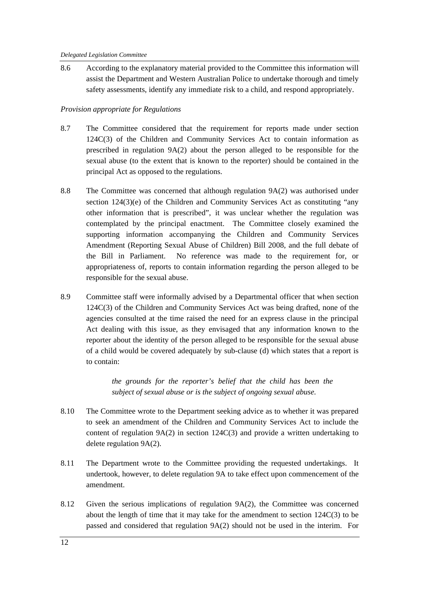8.6 According to the explanatory material provided to the Committee this information will assist the Department and Western Australian Police to undertake thorough and timely safety assessments, identify any immediate risk to a child, and respond appropriately.

# *Provision appropriate for Regulations*

- 8.7 The Committee considered that the requirement for reports made under section 124C(3) of the Children and Community Services Act to contain information as prescribed in regulation 9A(2) about the person alleged to be responsible for the sexual abuse (to the extent that is known to the reporter) should be contained in the principal Act as opposed to the regulations.
- 8.8 The Committee was concerned that although regulation 9A(2) was authorised under section 124(3)(e) of the Children and Community Services Act as constituting "any other information that is prescribed", it was unclear whether the regulation was contemplated by the principal enactment. The Committee closely examined the supporting information accompanying the Children and Community Services Amendment (Reporting Sexual Abuse of Children) Bill 2008, and the full debate of the Bill in Parliament. No reference was made to the requirement for, or appropriateness of, reports to contain information regarding the person alleged to be responsible for the sexual abuse.
- 8.9 Committee staff were informally advised by a Departmental officer that when section 124C(3) of the Children and Community Services Act was being drafted, none of the agencies consulted at the time raised the need for an express clause in the principal Act dealing with this issue, as they envisaged that any information known to the reporter about the identity of the person alleged to be responsible for the sexual abuse of a child would be covered adequately by sub-clause (d) which states that a report is to contain:

*the grounds for the reporter's belief that the child has been the subject of sexual abuse or is the subject of ongoing sexual abuse.* 

- 8.10 The Committee wrote to the Department seeking advice as to whether it was prepared to seek an amendment of the Children and Community Services Act to include the content of regulation 9A(2) in section 124C(3) and provide a written undertaking to delete regulation 9A(2).
- 8.11 The Department wrote to the Committee providing the requested undertakings. It undertook, however, to delete regulation 9A to take effect upon commencement of the amendment.
- 8.12 Given the serious implications of regulation 9A(2), the Committee was concerned about the length of time that it may take for the amendment to section 124C(3) to be passed and considered that regulation 9A(2) should not be used in the interim. For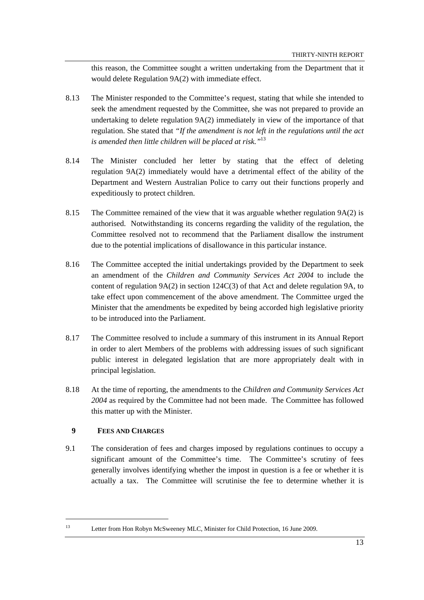this reason, the Committee sought a written undertaking from the Department that it would delete Regulation 9A(2) with immediate effect.

- 8.13 The Minister responded to the Committee's request, stating that while she intended to seek the amendment requested by the Committee, she was not prepared to provide an undertaking to delete regulation 9A(2) immediately in view of the importance of that regulation. She stated that *"If the amendment is not left in the regulations until the act is amended then little children will be placed at risk."*<sup>13</sup>
- 8.14 The Minister concluded her letter by stating that the effect of deleting regulation 9A(2) immediately would have a detrimental effect of the ability of the Department and Western Australian Police to carry out their functions properly and expeditiously to protect children.
- 8.15 The Committee remained of the view that it was arguable whether regulation 9A(2) is authorised. Notwithstanding its concerns regarding the validity of the regulation, the Committee resolved not to recommend that the Parliament disallow the instrument due to the potential implications of disallowance in this particular instance.
- 8.16 The Committee accepted the initial undertakings provided by the Department to seek an amendment of the *Children and Community Services Act 2004* to include the content of regulation  $9A(2)$  in section  $124C(3)$  of that Act and delete regulation 9A, to take effect upon commencement of the above amendment. The Committee urged the Minister that the amendments be expedited by being accorded high legislative priority to be introduced into the Parliament.
- 8.17 The Committee resolved to include a summary of this instrument in its Annual Report in order to alert Members of the problems with addressing issues of such significant public interest in delegated legislation that are more appropriately dealt with in principal legislation.
- 8.18 At the time of reporting, the amendments to the *Children and Community Services Act 2004* as required by the Committee had not been made. The Committee has followed this matter up with the Minister.

# **9 FEES AND CHARGES**

 $\overline{a}$ 

9.1 The consideration of fees and charges imposed by regulations continues to occupy a significant amount of the Committee's time. The Committee's scrutiny of fees generally involves identifying whether the impost in question is a fee or whether it is actually a tax. The Committee will scrutinise the fee to determine whether it is

<sup>13</sup> Letter from Hon Robyn McSweeney MLC, Minister for Child Protection, 16 June 2009.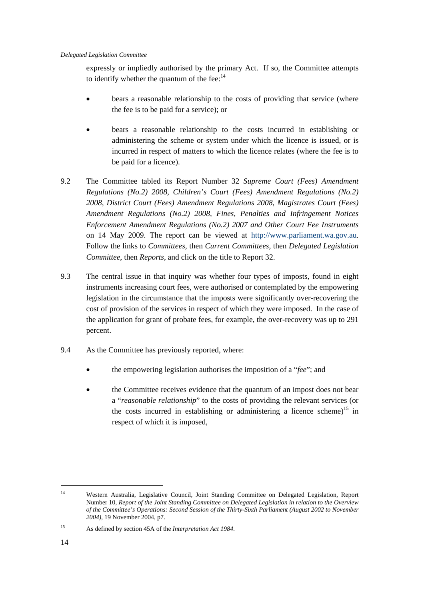expressly or impliedly authorised by the primary Act. If so, the Committee attempts to identify whether the quantum of the fee: $14$ 

- bears a reasonable relationship to the costs of providing that service (where the fee is to be paid for a service); or
- bears a reasonable relationship to the costs incurred in establishing or administering the scheme or system under which the licence is issued, or is incurred in respect of matters to which the licence relates (where the fee is to be paid for a licence).
- 9.2 The Committee tabled its Report Number 32 *Supreme Court (Fees) Amendment Regulations (No.2) 2008, Children's Court (Fees) Amendment Regulations (No.2) 2008, District Court (Fees) Amendment Regulations 2008, Magistrates Court (Fees) Amendment Regulations (No.2) 2008, Fines, Penalties and Infringement Notices Enforcement Amendment Regulations (No.2) 2007 and Other Court Fee Instruments* on 14 May 2009. The report can be viewed at http://www.parliament.wa.gov.au. Follow the links to *Committees*, then *Current Committees*, then *Delegated Legislation Committee*, then *Reports*, and click on the title to Report 32.
- 9.3 The central issue in that inquiry was whether four types of imposts, found in eight instruments increasing court fees, were authorised or contemplated by the empowering legislation in the circumstance that the imposts were significantly over-recovering the cost of provision of the services in respect of which they were imposed. In the case of the application for grant of probate fees, for example, the over-recovery was up to 291 percent.
- 9.4 As the Committee has previously reported, where:
	- the empowering legislation authorises the imposition of a "*fee*"; and
	- the Committee receives evidence that the quantum of an impost does not bear a "*reasonable relationship*" to the costs of providing the relevant services (or the costs incurred in establishing or administering a licence scheme)<sup>15</sup> in respect of which it is imposed,

<sup>14</sup> Western Australia, Legislative Council, Joint Standing Committee on Delegated Legislation, Report Number 10, *Report of the Joint Standing Committee on Delegated Legislation in relation to the Overview of the Committee's Operations: Second Session of the Thirty-Sixth Parliament (August 2002 to November 2004),* 19 November 2004, p7.

<sup>15</sup> As defined by section 45A of the *Interpretation Act 1984*.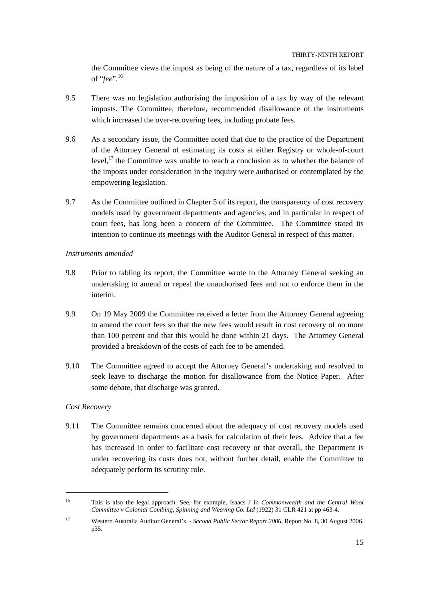the Committee views the impost as being of the nature of a tax, regardless of its label of "*fee*".<sup>16</sup>

- 9.5 There was no legislation authorising the imposition of a tax by way of the relevant imposts. The Committee, therefore, recommended disallowance of the instruments which increased the over-recovering fees, including probate fees.
- 9.6 As a secondary issue, the Committee noted that due to the practice of the Department of the Attorney General of estimating its costs at either Registry or whole-of-court level,<sup>17</sup> the Committee was unable to reach a conclusion as to whether the balance of the imposts under consideration in the inquiry were authorised or contemplated by the empowering legislation.
- 9.7 As the Committee outlined in Chapter 5 of its report, the transparency of cost recovery models used by government departments and agencies, and in particular in respect of court fees, has long been a concern of the Committee. The Committee stated its intention to continue its meetings with the Auditor General in respect of this matter.

#### *Instruments amended*

- 9.8 Prior to tabling its report, the Committee wrote to the Attorney General seeking an undertaking to amend or repeal the unauthorised fees and not to enforce them in the interim.
- 9.9 On 19 May 2009 the Committee received a letter from the Attorney General agreeing to amend the court fees so that the new fees would result in cost recovery of no more than 100 percent and that this would be done within 21 days. The Attorney General provided a breakdown of the costs of each fee to be amended.
- 9.10 The Committee agreed to accept the Attorney General's undertaking and resolved to seek leave to discharge the motion for disallowance from the Notice Paper. After some debate, that discharge was granted.

# *Cost Recovery*

 $\overline{a}$ 

9.11 The Committee remains concerned about the adequacy of cost recovery models used by government departments as a basis for calculation of their fees. Advice that a fee has increased in order to facilitate cost recovery or that overall, the Department is under recovering its costs does not, without further detail, enable the Committee to adequately perform its scrutiny role.

<sup>16</sup> This is also the legal approach. See, for example, Isaacs J in *Commonwealth and the Central Wool Committee v Colonial Combing, Spinning and Weaving Co. Ltd* (1922) 31 CLR 421 at pp 463-4.

<sup>17</sup> Western Australia Auditor General's - *Second Public Sector Report 2006*, Report No. 8, 30 August 2006, p35.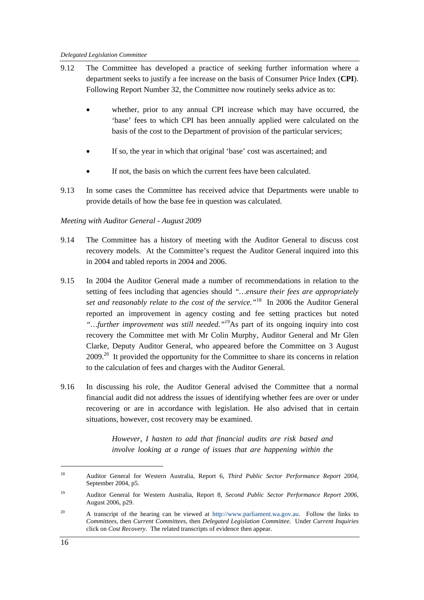- 9.12 The Committee has developed a practice of seeking further information where a department seeks to justify a fee increase on the basis of Consumer Price Index (**CPI**). Following Report Number 32, the Committee now routinely seeks advice as to:
	- whether, prior to any annual CPI increase which may have occurred, the 'base' fees to which CPI has been annually applied were calculated on the basis of the cost to the Department of provision of the particular services;
	- If so, the year in which that original 'base' cost was ascertained; and
	- If not, the basis on which the current fees have been calculated.
- 9.13 In some cases the Committee has received advice that Departments were unable to provide details of how the base fee in question was calculated.

# *Meeting with Auditor General - August 2009*

- 9.14 The Committee has a history of meeting with the Auditor General to discuss cost recovery models. At the Committee's request the Auditor General inquired into this in 2004 and tabled reports in 2004 and 2006.
- 9.15 In 2004 the Auditor General made a number of recommendations in relation to the setting of fees including that agencies should *"…ensure their fees are appropriately set and reasonably relate to the cost of the service."*18 In 2006 the Auditor General reported an improvement in agency costing and fee setting practices but noted *"…further improvement was still needed."19*As part of its ongoing inquiry into cost recovery the Committee met with Mr Colin Murphy, Auditor General and Mr Glen Clarke, Deputy Auditor General, who appeared before the Committee on 3 August  $2009<sup>20</sup>$  It provided the opportunity for the Committee to share its concerns in relation to the calculation of fees and charges with the Auditor General.
- 9.16 In discussing his role, the Auditor General advised the Committee that a normal financial audit did not address the issues of identifying whether fees are over or under recovering or are in accordance with legislation. He also advised that in certain situations, however, cost recovery may be examined.

*However, I hasten to add that financial audits are risk based and involve looking at a range of issues that are happening within the* 

<sup>18</sup> Auditor General for Western Australia, Report 6, *Third Public Sector Performance Report 2004,*  September 2004, p5.

<sup>19</sup> Auditor General for Western Australia, Report 8, *Second Public Sector Performance Report 2006,*  August 2006, p29.

<sup>&</sup>lt;sup>20</sup> A transcript of the hearing can be viewed at http://www.parliament.wa.gov.au. Follow the links to *Committees*, then *Current Committees*, then *Delegated Legislation Committee*. Under *Current Inquiries* click on *Cost Recovery*. The related transcripts of evidence then appear.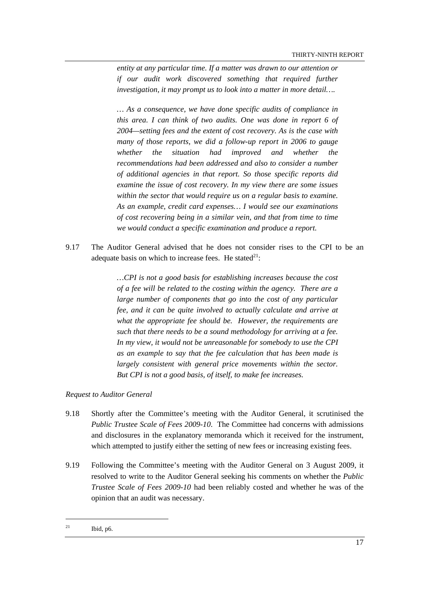*entity at any particular time. If a matter was drawn to our attention or if our audit work discovered something that required further investigation, it may prompt us to look into a matter in more detail….* 

*… As a consequence, we have done specific audits of compliance in this area. I can think of two audits. One was done in report 6 of 2004—setting fees and the extent of cost recovery. As is the case with many of those reports, we did a follow-up report in 2006 to gauge whether the situation had improved and whether the recommendations had been addressed and also to consider a number of additional agencies in that report. So those specific reports did examine the issue of cost recovery. In my view there are some issues within the sector that would require us on a regular basis to examine. As an example, credit card expenses… I would see our examinations of cost recovering being in a similar vein, and that from time to time we would conduct a specific examination and produce a report.* 

9.17 The Auditor General advised that he does not consider rises to the CPI to be an adequate basis on which to increase fees. He stated<sup>21</sup>:

> *…CPI is not a good basis for establishing increases because the cost of a fee will be related to the costing within the agency. There are a large number of components that go into the cost of any particular fee, and it can be quite involved to actually calculate and arrive at what the appropriate fee should be. However, the requirements are such that there needs to be a sound methodology for arriving at a fee. In my view, it would not be unreasonable for somebody to use the CPI as an example to say that the fee calculation that has been made is largely consistent with general price movements within the sector. But CPI is not a good basis, of itself, to make fee increases.*

# *Request to Auditor General*

- 9.18 Shortly after the Committee's meeting with the Auditor General, it scrutinised the *Public Trustee Scale of Fees 2009-10*. The Committee had concerns with admissions and disclosures in the explanatory memoranda which it received for the instrument, which attempted to justify either the setting of new fees or increasing existing fees.
- 9.19 Following the Committee's meeting with the Auditor General on 3 August 2009, it resolved to write to the Auditor General seeking his comments on whether the *Public Trustee Scale of Fees 2009-10* had been reliably costed and whether he was of the opinion that an audit was necessary.

 $^{21}$  Ibid, p6.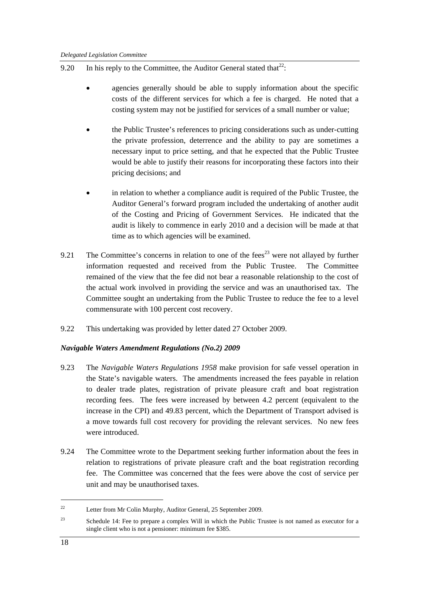- 9.20 In his reply to the Committee, the Auditor General stated that $^{22}$ :
	- agencies generally should be able to supply information about the specific costs of the different services for which a fee is charged. He noted that a costing system may not be justified for services of a small number or value;
	- the Public Trustee's references to pricing considerations such as under-cutting the private profession, deterrence and the ability to pay are sometimes a necessary input to price setting, and that he expected that the Public Trustee would be able to justify their reasons for incorporating these factors into their pricing decisions; and
	- in relation to whether a compliance audit is required of the Public Trustee, the Auditor General's forward program included the undertaking of another audit of the Costing and Pricing of Government Services. He indicated that the audit is likely to commence in early 2010 and a decision will be made at that time as to which agencies will be examined.
- 9.21 The Committee's concerns in relation to one of the fees<sup>23</sup> were not allayed by further information requested and received from the Public Trustee. The Committee remained of the view that the fee did not bear a reasonable relationship to the cost of the actual work involved in providing the service and was an unauthorised tax. The Committee sought an undertaking from the Public Trustee to reduce the fee to a level commensurate with 100 percent cost recovery.
- 9.22 This undertaking was provided by letter dated 27 October 2009.

# *Navigable Waters Amendment Regulations (No.2) 2009*

- 9.23 The *Navigable Waters Regulations 1958* make provision for safe vessel operation in the State's navigable waters. The amendments increased the fees payable in relation to dealer trade plates, registration of private pleasure craft and boat registration recording fees. The fees were increased by between 4.2 percent (equivalent to the increase in the CPI) and 49.83 percent, which the Department of Transport advised is a move towards full cost recovery for providing the relevant services. No new fees were introduced.
- 9.24 The Committee wrote to the Department seeking further information about the fees in relation to registrations of private pleasure craft and the boat registration recording fee. The Committee was concerned that the fees were above the cost of service per unit and may be unauthorised taxes.

<sup>22</sup> Letter from Mr Colin Murphy, Auditor General, 25 September 2009.

<sup>&</sup>lt;sup>23</sup> Schedule 14: Fee to prepare a complex Will in which the Public Trustee is not named as executor for a single client who is not a pensioner: minimum fee \$385.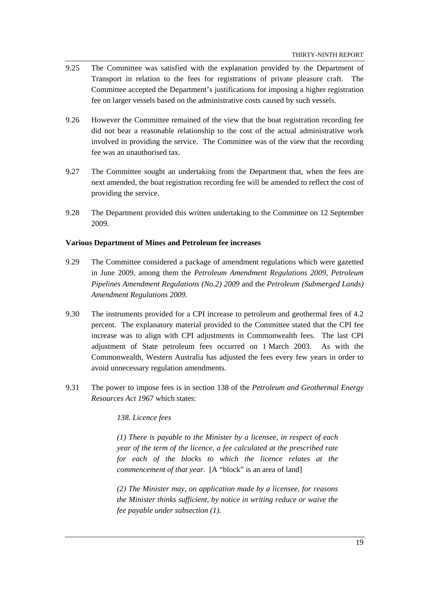- 9.25 The Committee was satisfied with the explanation provided by the Department of Transport in relation to the fees for registrations of private pleasure craft. The Committee accepted the Department's justifications for imposing a higher registration fee on larger vessels based on the administrative costs caused by such vessels.
- 9.26 However the Committee remained of the view that the boat registration recording fee did not bear a reasonable relationship to the cost of the actual administrative work involved in providing the service. The Committee was of the view that the recording fee was an unauthorised tax.
- 9.27 The Committee sought an undertaking from the Department that, when the fees are next amended, the boat registration recording fee will be amended to reflect the cost of providing the service.
- 9.28 The Department provided this written undertaking to the Committee on 12 September 2009.

#### **Various Department of Mines and Petroleum fee increases**

- 9.29 The Committee considered a package of amendment regulations which were gazetted in June 2009, among them the *Petroleum Amendment Regulations 2009*, *Petroleum Pipelines Amendment Regulations (No.2) 2009* and the *Petroleum (Submerged Lands) Amendment Regulations 2009*.
- 9.30 The instruments provided for a CPI increase to petroleum and geothermal fees of 4.2 percent. The explanatory material provided to the Committee stated that the CPI fee increase was to align with CPI adjustments in Commonwealth fees. The last CPI adjustment of State petroleum fees occurred on 1 March 2003. As with the Commonwealth, Western Australia has adjusted the fees every few years in order to avoid unnecessary regulation amendments.
- 9.31 The power to impose fees is in section 138 of the *Petroleum and Geothermal Energy Resources Act 1967* which states:

*138. Licence fees* 

*(1) There is payable to the Minister by a licensee, in respect of each year of the term of the licence, a fee calculated at the prescribed rate for each of the blocks to which the licence relates at the commencement of that year.* [A "block" is an area of land]

*(2) The Minister may, on application made by a licensee, for reasons the Minister thinks sufficient, by notice in writing reduce or waive the fee payable under subsection (1).*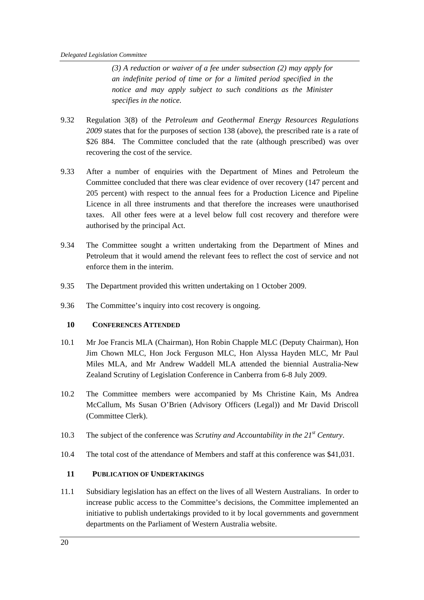*(3) A reduction or waiver of a fee under subsection (2) may apply for an indefinite period of time or for a limited period specified in the notice and may apply subject to such conditions as the Minister specifies in the notice.* 

- 9.32 Regulation 3(8) of the *Petroleum and Geothermal Energy Resources Regulations 2009* states that for the purposes of section 138 (above), the prescribed rate is a rate of \$26 884. The Committee concluded that the rate (although prescribed) was over recovering the cost of the service.
- 9.33 After a number of enquiries with the Department of Mines and Petroleum the Committee concluded that there was clear evidence of over recovery (147 percent and 205 percent) with respect to the annual fees for a Production Licence and Pipeline Licence in all three instruments and that therefore the increases were unauthorised taxes. All other fees were at a level below full cost recovery and therefore were authorised by the principal Act.
- 9.34 The Committee sought a written undertaking from the Department of Mines and Petroleum that it would amend the relevant fees to reflect the cost of service and not enforce them in the interim.
- 9.35 The Department provided this written undertaking on 1 October 2009.
- 9.36 The Committee's inquiry into cost recovery is ongoing.

# **10 CONFERENCES ATTENDED**

- 10.1 Mr Joe Francis MLA (Chairman), Hon Robin Chapple MLC (Deputy Chairman), Hon Jim Chown MLC, Hon Jock Ferguson MLC, Hon Alyssa Hayden MLC, Mr Paul Miles MLA, and Mr Andrew Waddell MLA attended the biennial Australia-New Zealand Scrutiny of Legislation Conference in Canberra from 6-8 July 2009.
- 10.2 The Committee members were accompanied by Ms Christine Kain, Ms Andrea McCallum, Ms Susan O'Brien (Advisory Officers (Legal)) and Mr David Driscoll (Committee Clerk).
- 10.3 The subject of the conference was *Scrutiny and Accountability in the 21st Century*.
- 10.4 The total cost of the attendance of Members and staff at this conference was \$41,031.

# **11 PUBLICATION OF UNDERTAKINGS**

11.1 Subsidiary legislation has an effect on the lives of all Western Australians. In order to increase public access to the Committee's decisions, the Committee implemented an initiative to publish undertakings provided to it by local governments and government departments on the Parliament of Western Australia website.